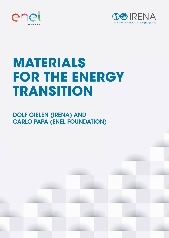



# **MATERIALS FOR THE ENERGY TRANSITION**

# DOLF GIELEN (IRENA) AND CARLO PAPA (ENEL FOUNDATION)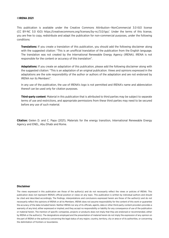#### **©IRENA 2021**

This publication is available under the Creative Commons Attribution--NonCommercial 3.0 IGO license (CC BY-NC 3.0 IGO) https://creativecommons.org/licenses/by-nc/3.0/igo/. Under the terms of this license, you are free to copy, redistribute and adapt the publication for non-commercial purposes, under the following conditions:

**Translations:** If you create a translation of this publication, you should add the following disclaimer along with the suggested citation: "This is an unofficial translation of the publication from the English language. The translation was not created by the International Renewable Energy Agency (IRENA). IRENA is not responsible for the content or accuracy of this translation".

**Adaptations:** If you create an adaptation of this publication, please add the following disclaimer along with the suggested citation: "This is an adaptation of an original publication. Views and opinions expressed in the adaptations are the sole responsibility of the author or authors of the adaptation and are not endorsed by IRENA nor its Members".

In any use of the publication, the use of IRENA's logo is not permitted and IRENA's name and abbreviation thereof can be used only for citation purposes.

**Third-party content**: Material in this publication that is attributed to third parties may be subject to separate terms of use and restrictions, and appropriate permissions from these third parties may need to be secured before any use of such material.

**Citation:** Gielen D. and C. Papa (2021), Materials for the energy transition, International Renewable Energy Agency and ENEL, Abu Dhabi and Rome.

#### **Disclaimer**

The views expressed in this publication are those of the author(s) and do not necessarily reflect the views or policies of IRENA. This publication does not represent IRENA's official position or views on any topic. This publication is written by individual authors and should be cited and described accordingly. The findings, interpretations and conclusions expressed herein are those of the author(s) and do not necessarily reflect the opinions of IRENA or all its Members. IRENA does not assume responsibility for the content of this work or quarantee the accuracy of the data included herein. Neither IRENA nor any of its officials, agents, data or other third-party content providers provides a warranty of any kind, either expressed or implied, and they accept no responsibility or liability for any consequence of use of the publication or material herein. The mention of specific companies, projects or products does not imply that they are endorsed or recommended, either by IRENA or the author(s). The designations employed and the presentation of material herein do not imply the expression of any opinion on the part of IRENA or the author(s) concerning the legal status of any region, country, territory, city or area or of its authorities, or concerning the delimitation of frontiers or boundaries.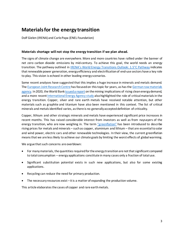# **Materials for the energy transition**

Dolf Gielen (IRENA) and Carlo Papa (ENEL Foundation)

## **Materials shortage will not stop the energy transition if we plan ahead.**

The signs of climate change are everywhere. More and more countries have rallied under the banner of net zero carbon dioxide emissions by mid-century. To achieve this goal, the world needs an energy transition. The pathway outlined in [IRENA's World Energy Transitions Outlook: 1.5°C Pathway](https://www.irena.org/publications/2021/Jun/World-Energy-Transitions-Outlook) indicates that renewable power generation, energy efficiency and electrification of end-use sectors have a key role to play. This vision is echoed in other leading energy scenarios.

Some recent analyses have suggested that this implies a huge increase in minerals and metals demand. The European [Joint Research Centre](https://ec.europa.eu/jrc/en/research-topic/raw-materials) has focused on this topic for years, as hasth[e German raw materials](https://www.deutsche-rohstoffagentur.de/DERA/DE/Laufende-Projekte/Rohstoffwirtschaft/Zukunftstechnologien/lp-zukunftstechnologien_node.html)  [agency.](https://www.deutsche-rohstoffagentur.de/DERA/DE/Laufende-Projekte/Rohstoffwirtschaft/Zukunftstechnologien/lp-zukunftstechnologien_node.html) In 2020, the World Ban[k issued a](https://www.worldbank.org/en/topic/extractiveindustries/brief/climate-smart-mining-minerals-for-climate-action) report on the mining implications of rising clean energy demand, and a more recent International Energy Agency study also highlighted the role of critical materials in the energy transition. Copper, silver and rare earth metals have received notable attention, but other materials such as graphite and titanium have also been mentioned in this context. The list of critical minerals and metals identified varies, asthere is no generally accepted definition of criticality.

Copper, lithium and other strategic minerals and metals have experienced significant price increases in recent months. This has raised considerable interest from investors as well as from naysayers of the energy transition, who are now weighing in. The term ["greenflation"](https://www.ft.com/content/49c19d8f-c3c3-4450-b869-50c7126076ee) has been introduced to describe rising prices for metals and minerals – such as copper, aluminium and lithium – that are essential to solar and wind power, electric cars and other renewable technologies. In their view, the current greenflation means that we are less likely to achieve our climate goals by limiting the worst effects of global warming.

We argue that such concerns are overblown:

- For many materials, the quantities required for the energy transition are not that significant compared to total consumption – energy applications constitute in many cases only a fraction of total use.
- Significant substitution potential exists in such new applications, but also for some existing applications.
- Recycling can reduce the need for primary production.
- The necessary resources exist it is a matter of expanding the production volume.

This article elaborates the cases of copper and rare earth metals.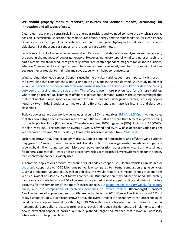# **We should properly measure reserves, resources and demand impacts, accounting for innovation and all types of uses.**

Clean electricity plays a central role in the energy transition, and we need to make the switch as soon as possible. Electricity must become the main source of final energy and the main feedstock for clean energy carriers such as hydrogen. Electric vehicles, heat pumps and green hydrogen for industry must become ubiquitous. But that requires copper, and it requires rare earth metals.

Let'stake a closer look at wind power generation. Rare earth metals, notably neodymium and dysprosium, are used in the magnets of power generators. However, not every type of wind turbine uses such rare earth metals. Western producers generally avoid rare earth-dependent magnets for onshore turbines, whereas Chinese producers deploy them. These metals are more widely used for offshore wind turbines because they are easier to maintain and save space, which helps to reduce costs.

Wind turbines also need copper. Copper is used in the physical turbine, but more importantly it is used in the power line that connects the wind turbine to the grid, and in the transformers. A UK study found that around [one-third of the copper used on wind farms is used in the turbine](http://docs.wind-watch.org/Copper%20use%20in%20wind%20farms.pdf) and two-thirds in the cabling [between the turbine and the sub-station.](http://docs.wind-watch.org/Copper%20use%20in%20wind%20farms.pdf) This effect is even more pronounced for offshore turbines, where siting a project 100 kilometres offshore triples copper demand. Notably, the same study highlights that continental Europe specifies aluminium for use in onshore underground cables, reducing copper needs by two-thirds. Standards can make a big difference regarding materials intensity and deserve a closer look.

Today's power generation worldwide includes around 30% renewables[. IRENA's 1.5°C pathway](https://irena.org/-/media/Files/IRENA/Agency/Publication/2021/Jun/IRENA_WETO_Executive_Summary_2021.pdf?la=en&hash=28FC97DECC816DC6A8D53BC1DDB1B079513A9964) indicates that this percentage needs to increase to around 90% by 2050, with more than 60% of all power coming from solar photovoltaics (PV) and wind. Therefore, we need 8000 gigawatts (GW) of wind and 15 000 GW of solar PV by 2050. This requires on average 250 GW of wind and 350 GW of solar capacity additions per year between now and 2050. By 2030, a three-fold increase is needed from [2020 levels.](https://www.irena.org/newsroom/pressreleases/2021/Apr/World-Adds-Record-New-Renewable-Energy-Capacity-in-2020)

Such rapid growth may impact copper markets. Copper demand fromonshore and offshore wind turbines may grow to 2 million tonnes per year. Additionally, solar PV power generation needs for copper are growing by 4 million tonnes per year. Moreover, power generation represents only part of the total need for minerals and metals. Power grids and electric vehicles are two other key growth markets for the energy transitionwhere copper is widely used.

Automotive applications account for around 9% of today's copper use. Electric vehicles can double or [quadruple](https://www.visualcapitalist.com/how-much-copper-is-in-an-electric-vehicle/) copper use to 40-80 kilograms per vehicle, compared to internal combustion engine vehicles. Given a production volume of 100 million vehicles, this would require 4- 8 million tonnes of copper per year, equivalent to 14% to 28% of today's copper use. But innovation may reduce this need. The battery pack alone accounts for around 40 kilograms of copper; additional copper cabling and wiring in motors accounts for the remainder of the metal's increased use. But [copper needs can vary widely for battery](https://www.mckinsey.com/industries/automotive-and-assembly/our-insights/building-better-batteries-insights-on-chemistry-and-design-from-china)  packs, [and the composition of batteries continues to evolve rapidly.](https://www.mckinsey.com/industries/automotive-and-assembly/our-insights/building-better-batteries-insights-on-chemistry-and-design-from-china) BloombergNEF projects 4 million tonnes of copper demand for lithium-ion batteries by 2030 (Figure 1) – this is around 13% of today's copper supply, a significant growth area. The overall impact of the energy transition technologies could increase copper demand by a third by 2030. While this is not a trivial amount, at the same time it is manageable, especially if processes to innovate, recycle and reduce this demand are implemented, and if newly extracted copper is carried out in a planned, organised manner that allows all necessary interventions to be put in place.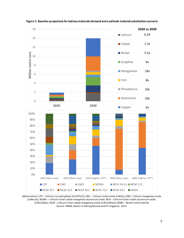

**Figure 1: Baseline projections for battery materials demand and a cathode material substitution scenario**

Abbreviations: LFP – Lithium iron phosphate (LiFePO<sub>4</sub>/C); LNO – Lithium nickel oxide (LiNiO<sub>2</sub>); LMO – Lithium manganese oxide (LiMn2O4); NCMA – Lithium nickel cobalt manganese aluminium oxide; NCA – Lithium nickel cobalt aluminium oxide; (LiNiCoAlO2); NCM – Lithium nickel cobalt manganese oxide (LiNiCoMnO2); NiMH – Nickel metal hydride Source: IRENA, based on Mining Review and PV magazine, 2021.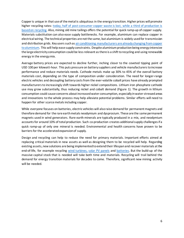Copper is unique in that use of the metal is ubiquitous in the energy transition. Higher prices will promote higher recycling rates: today, [half of post-consumer copper waste is lost,](http://www.icsg.org/) while a third of production is [based on recycling.](http://www.icsg.org/) Also, mining old mine tailings offers the potential for quick ramp-up of copper supply. Materials substitution can also ease supply bottlenecks. For example, aluminium can replace copper in electricalwiring. The technical properties are not the same, but aluminium is widely used for transmission and distribution grids. Key users such as air conditioning [manufacturers are already changing](https://www.bloomberg.com/news/articles/2021-09-09/copper-is-so-pricey-now-that-aircons-are-switching-to-aluminum) from copper [to aluminium.](https://www.bloomberg.com/news/articles/2021-09-09/copper-is-so-pricey-now-that-aircons-are-switching-to-aluminum) This will help ease supply constraints. Despite aluminium production being energy intensive the large electricity consumption could be less relevant as there is a shift to recycling and using renewable energy in the energy mix.

Average battery prices are expected to decline further, inching closer to the coveted tipping point of USD 100 per kilowatt-hour. This puts pressure on battery suppliers and vehicle manufacturers to increase performance and reduce materials needs. Cathode metals make up 30% to 45% of the overall battery materials cost, depending on the type of composition under consideration. The need for longer-range electric vehicles and decoupling battery costs from the ever-volatile cobalt prices have already prompted manufacturers to increasingly shift towards higher nickel compositions. Lithium iron phosphate cathode use may grow substantially, thus reducing nickel and cobalt demand (Figure 1). The growth in lithium consumption could cause concerns about increased water consumption, especially in water stressed areas and innovations to the whole process may help alleviate potential problems. Similar efforts will need to happen for other scarce metals including copper.

While everyone focuses on batteries, electric vehicles will also raise demand for permanent magnets and therefore demand for the rare earth metals neodymium and dysprosium. These are the same permanent magnets used in wind generators. Rare earth minerals are typically produced in a mix, and neodymium accounts for around 10% of total production. Such co-production creates additional supply challenges if a quick ramp-up of only one mineral is needed. Environmental and health concerns have proven to be barriers for the accelerated expansion of supply.

Design and recycling can help to reduce the need for primary materials. Important efforts aimed at replacing critical materials in new assets as well as designing them to be recycled will help. Regarding existing assets, new solutions are being implemented to extend their lifespanand recover materials at the end-of-life, for example recycling [wind turbines,](https://www.cnbc.com/2021/09/07/wind-energy-giant-siemens-gamesa-claims-world-first-in-blade-recycling.html) [solar PV panels](https://www.irena.org/publications/2016/Jun/End-of-life-management-Solar-Photovoltaic-Panels) and [batteries.](https://ucsusa.org/sites/default/files/2021-02/ev-battery-recycling-fact-sheet.pdf?_ga=2.6123955.1278797958.1631345060-206091257.1631345060) But the build-up of the massive capital stock that is needed will take both time and materials. Recycling will trail behind the demand for energy transition materials for decades to come. Therefore, significant new mining activity will be needed.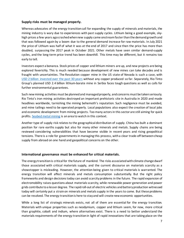## **Supply risks must be managed properly.**

Whereas advocates of the energy transition call for expanding the supply of minerals and materials, the mining industry is wary due to experiences with past supply cycles. Lithium being a good example, skyhigh prices a few years ago crashed when new supply came onstream faster than the demand growth and that was followed again by a boom due to the general demand increase for raw materials. In July 2021 the price of Lithium was half of what it was at the end of 2017 and since then the price has more than doubled, surpassing the 2017 peak in October 2021. Other metals have seen similar demand-supply cycles, and the long-term price trend has been downhill. This time may be different, but it remains too early to tell.

Investors expect a bonanza. Stock prices of copper and lithium miners are up, and new projects are being explored feverishly. This is much needed because development of new mines can take decades and is fraught with uncertainties. The Resolution copper mine in the US state of Nevada is such a case, with USD [2 billion invested over the past 30 years](https://www.discovermagazine.com/environment/north-america-is-about-to-get-its-largest-copper-mine) without any copper produced so far. Separately, Rio Tinto Group's planned USD 2.4 billion lithium-borate mine in Serbia faces tough questions as well as calls for further environmental guarantees.

Such new mining activities must be planned and managed properly, and concerns must be taken seriously. Rio Tinto's iron mining activities destroyed an important prehistoric site in Australia in 2020 and made headlines worldwide, tarnishing the mining behemoth's reputation. Such negligence must be avoided, and mine tailings need to be operated properly. Local populations also expect the creation of local jobs and economic development from mining projects. Too many actorsin this sector are still aiming for quick profits. [Seabed metal mining](https://gcaptain.com/subsea-mining-startups-spac-soac/) is an area to watch in this context.

Another type of supply risk relates to the geographical distribution of supply. China has built a dominant position for rare earths supply but also for many other minerals and metals. Supply chains are being reviewed considering vulnerabilities that have become visible in recent years and rising geopolitical tensions. There is a role for governments in managing this process, with a clear trade-off between cheap supply from abroad on one hand and geopolitical concerns on the other.

## **International governance must be enhanced for critical materials.**

The energy transition is critical for the future of mankind. The risks associated with climate change dwarf those associated with critical materials supply, and the current discourse on materials scarcity as a showstopper is misleading. However, the attention being given to critical materials is warranted. The energy transition will affect minerals and metals consumption substantially. But the right policy frameworks and design decisionstoday can avoid scarcity problems in the future. The rapid expansion of electromobility raises questions about materials scarcity, while renewable power generation and power grids contribute to a lesser degree. The rapid roll-out of electric vehicles and battery production witnessed today will certainly put a strain on minerals and metals supply in the years to come. But these problems can be resolved. The energy transition is here to stay and will create new economic opportunities.

While a long list of strategic minerals exists, not all of them are essential for the energy transition. Materials with unique properties such as neodymium, copper and lithium seem, for now, more critical than graphite, cobalt and indium, where alternatives exist. There is a need to better understand the materials requirements of the energy transition in light of rapid innovations that are taking place on the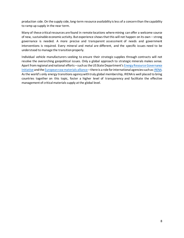production side. On the supply side, long-term resource availability is less of a concernthan the capability to ramp up supply in the near term.

Many of these critical resources are found in remote locations where mining can offer a welcome source of new, sustainable economic activity. But experience shows that this will not happen on its own – strong governance is needed. A more precise and transparent assessment of needs and government interventions is required. Every mineral and metal are different, and the specific issues need to be understood to manage the transition properly.

Individual vehicle manufacturers seeking to ensure their strategic supplies through contracts will not resolve the overarching geopolitical issues. Only a global approach to strategic minerals makes sense. Apart from regional and national efforts – such as the US State Department's Energy Resource Governance [Initiative](https://www.irena.org/events/2020/Jun/Mineral-Criticality-and-the-Energy-Transition) and th[e European raw materials alliance](https://erma.eu/) – there is a role for international agenciessuch a[s IRENA.](https://www.irena.org/-/media/Files/IRENA/Agency/Publication/2021/Jun/IRENA_Power_Generation_Costs_2020.pdf?la=en&hash=755CB6E57667D53B629967EC7F9BE57A55D1CD78) Asthe world's only energy transitions agencywith truly global membership, IRENA is well placed to bring countries together on this topic, foster a higher level of transparency and facilitate the effective management of critical materials supply at the global level.